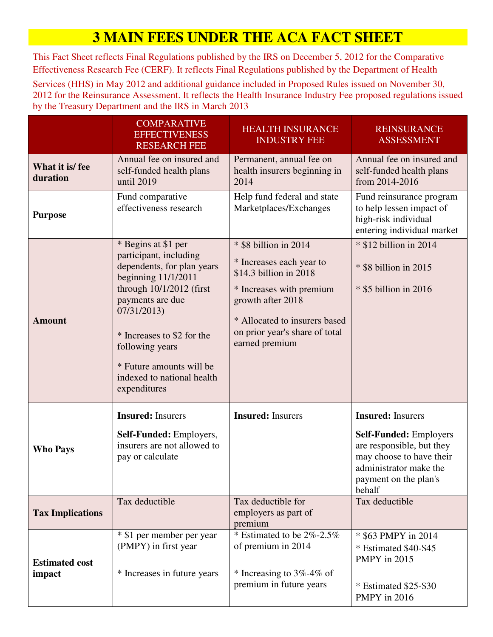# **3 MAIN FEES UNDER THE ACA FACT SHEET**

This Fact Sheet reflects Final Regulations published by the IRS on December 5, 2012 for the Comparative Effectiveness Research Fee (CERF). It reflects Final Regulations published by the Department of Health

Services (HHS) in May 2012 and additional guidance included in Proposed Rules issued on November 30, 2012 for the Reinsurance Assessment. It reflects the Health Insurance Industry Fee proposed regulations issued by the Treasury Department and the IRS in March 2013

|                                 | <b>COMPARATIVE</b><br><b>EFFECTIVENESS</b><br><b>RESEARCH FEE</b>                                                                                                                                                                                                                              | <b>HEALTH INSURANCE</b><br><b>INDUSTRY FEE</b>                                                                                                                                                                    | <b>REINSURANCE</b><br><b>ASSESSMENT</b>                                                                                                                                         |
|---------------------------------|------------------------------------------------------------------------------------------------------------------------------------------------------------------------------------------------------------------------------------------------------------------------------------------------|-------------------------------------------------------------------------------------------------------------------------------------------------------------------------------------------------------------------|---------------------------------------------------------------------------------------------------------------------------------------------------------------------------------|
| What it is/fee<br>duration      | Annual fee on insured and<br>self-funded health plans<br>until 2019                                                                                                                                                                                                                            | Permanent, annual fee on<br>health insurers beginning in<br>2014                                                                                                                                                  | Annual fee on insured and<br>self-funded health plans<br>from 2014-2016                                                                                                         |
| <b>Purpose</b>                  | Fund comparative<br>effectiveness research                                                                                                                                                                                                                                                     | Help fund federal and state<br>Marketplaces/Exchanges                                                                                                                                                             | Fund reinsurance program<br>to help lessen impact of<br>high-risk individual<br>entering individual market                                                                      |
| <b>Amount</b>                   | * Begins at \$1 per<br>participant, including<br>dependents, for plan years<br>beginning $11/1/2011$<br>through 10/1/2012 (first<br>payments are due<br>07/31/2013)<br>* Increases to \$2 for the<br>following years<br>* Future amounts will be<br>indexed to national health<br>expenditures | * \$8 billion in 2014<br>* Increases each year to<br>\$14.3 billion in 2018<br>* Increases with premium<br>growth after 2018<br>* Allocated to insurers based<br>on prior year's share of total<br>earned premium | * \$12 billion in 2014<br>* \$8 billion in 2015<br>* \$5 billion in 2016                                                                                                        |
| <b>Who Pays</b>                 | <b>Insured:</b> Insurers<br>Self-Funded: Employers,<br>insurers are not allowed to<br>pay or calculate                                                                                                                                                                                         | <b>Insured:</b> Insurers                                                                                                                                                                                          | <b>Insured:</b> Insurers<br><b>Self-Funded: Employers</b><br>are responsible, but they<br>may choose to have their<br>administrator make the<br>payment on the plan's<br>behalf |
| <b>Tax Implications</b>         | Tax deductible                                                                                                                                                                                                                                                                                 | Tax deductible for<br>employers as part of<br>premium                                                                                                                                                             | Tax deductible                                                                                                                                                                  |
| <b>Estimated cost</b><br>impact | * \$1 per member per year<br>(PMPY) in first year<br>* Increases in future years                                                                                                                                                                                                               | * Estimated to be $2\%$ -2.5%<br>of premium in 2014<br>* Increasing to $3\%$ -4\% of<br>premium in future years                                                                                                   | * \$63 PMPY in 2014<br>* Estimated \$40-\$45<br>PMPY in 2015<br>$*$ Estimated \$25-\$30<br>PMPY in 2016                                                                         |